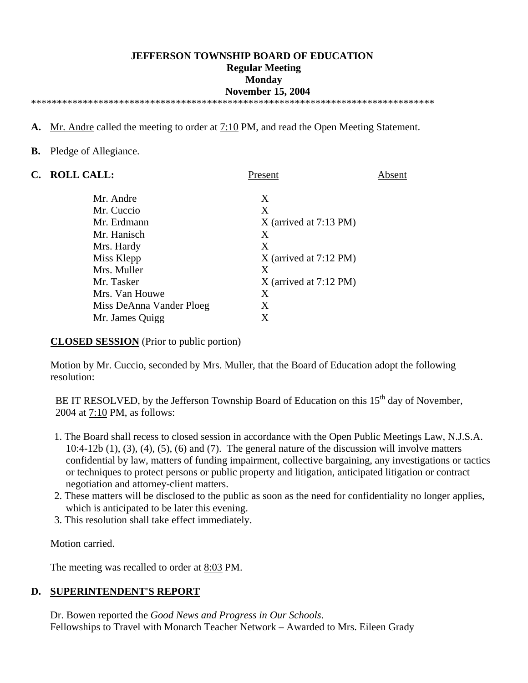#### **JEFFERSON TOWNSHIP BOARD OF EDUCATION Regular Meeting Monday November 15, 2004**  \*\*\*\*\*\*\*\*\*\*\*\*\*\*\*\*\*\*\*\*\*\*\*\*\*\*\*\*\*\*\*\*\*\*\*\*\*\*\*\*\*\*\*\*\*\*\*\*\*\*\*\*\*\*\*\*\*\*\*\*\*\*\*\*\*\*\*\*\*\*\*\*\*\*\*\*\*\*

- **A.** Mr. Andre called the meeting to order at 7:10 PM, and read the Open Meeting Statement.
- **B.** Pledge of Allegiance.

| <b>ROLL CALL:</b>        | Present                  | Absent |
|--------------------------|--------------------------|--------|
| Mr. Andre                | X                        |        |
| Mr. Cuccio               | X                        |        |
| Mr. Erdmann              | $X$ (arrived at 7:13 PM) |        |
| Mr. Hanisch              | Χ                        |        |
| Mrs. Hardy               | X                        |        |
| Miss Klepp               | $X$ (arrived at 7:12 PM) |        |
| Mrs. Muller              | X                        |        |
| Mr. Tasker               | $X$ (arrived at 7:12 PM) |        |
| Mrs. Van Houwe           | X                        |        |
| Miss DeAnna Vander Ploeg | X                        |        |
| Mr. James Quigg          | Χ                        |        |
|                          |                          |        |

**CLOSED SESSION** (Prior to public portion)

Motion by <u>Mr. Cuccio</u>, seconded by <u>Mrs. Muller</u>, that the Board of Education adopt the following resolution:

BE IT RESOLVED, by the Jefferson Township Board of Education on this  $15<sup>th</sup>$  day of November, 2004 at 7:10 PM, as follows:

- 1. The Board shall recess to closed session in accordance with the Open Public Meetings Law, N.J.S.A.  $10:4-12b(1)$ ,  $(3)$ ,  $(4)$ ,  $(5)$ ,  $(6)$  and  $(7)$ . The general nature of the discussion will involve matters confidential by law, matters of funding impairment, collective bargaining, any investigations or tactics or techniques to protect persons or public property and litigation, anticipated litigation or contract negotiation and attorney-client matters.
- 2. These matters will be disclosed to the public as soon as the need for confidentiality no longer applies, which is anticipated to be later this evening.
- 3. This resolution shall take effect immediately.

Motion carried.

The meeting was recalled to order at 8:03 PM.

#### **D. SUPERINTENDENT'S REPORT**

 Dr. Bowen reported the *Good News and Progress in Our Schools*. Fellowships to Travel with Monarch Teacher Network – Awarded to Mrs. Eileen Grady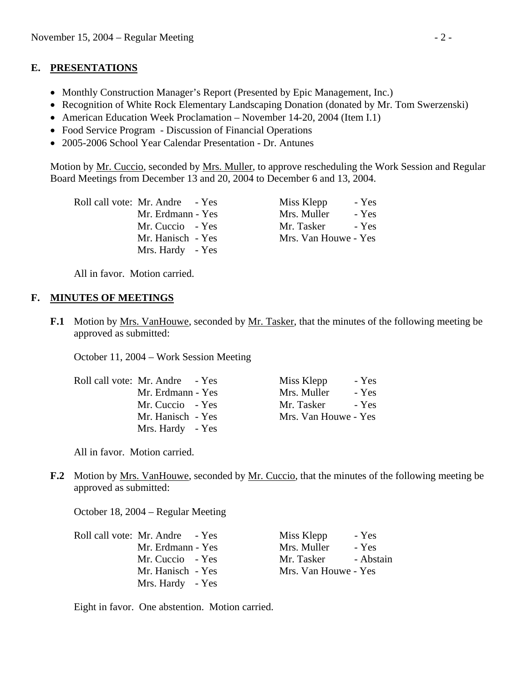#### **E. PRESENTATIONS**

- Monthly Construction Manager's Report (Presented by Epic Management, Inc.)
- Recognition of White Rock Elementary Landscaping Donation (donated by Mr. Tom Swerzenski)
- American Education Week Proclamation November 14-20, 2004 (Item I.1)
- Food Service Program Discussion of Financial Operations
- 2005-2006 School Year Calendar Presentation Dr. Antunes

Motion by Mr. Cuccio, seconded by Mrs. Muller, to approve rescheduling the Work Session and Regular Board Meetings from December 13 and 20, 2004 to December 6 and 13, 2004.

| Roll call vote: Mr. Andre - Yes | Miss Klepp           | - Yes |
|---------------------------------|----------------------|-------|
| Mr. Erdmann - Yes               | Mrs. Muller          | - Yes |
| Mr. Cuccio - Yes                | Mr. Tasker           | - Yes |
| Mr. Hanisch - Yes               | Mrs. Van Houwe - Yes |       |
| Mrs. Hardy - Yes                |                      |       |

All in favor. Motion carried.

#### **F. MINUTES OF MEETINGS**

**F.1** Motion by Mrs. VanHouwe, seconded by Mr. Tasker, that the minutes of the following meeting be approved as submitted:

October 11, 2004 – Work Session Meeting

| Roll call vote: Mr. Andre - Yes | Miss Klepp<br>- Yes  |
|---------------------------------|----------------------|
| Mr. Erdmann - Yes               | Mrs. Muller<br>- Yes |
| Mr. Cuccio - Yes                | Mr. Tasker<br>- Yes  |
| Mr. Hanisch - Yes               | Mrs. Van Houwe - Yes |
| Mrs. Hardy - Yes                |                      |

All in favor. Motion carried.

**F.2** Motion by Mrs. VanHouwe, seconded by Mr. Cuccio, that the minutes of the following meeting be approved as submitted:

October 18, 2004 – Regular Meeting

| Roll call vote: Mr. Andre - Yes | Miss Klepp           | - Yes     |
|---------------------------------|----------------------|-----------|
| Mr. Erdmann - Yes               | Mrs. Muller          | - Yes     |
| Mr. Cuccio - Yes                | Mr. Tasker           | - Abstain |
| Mr. Hanisch - Yes               | Mrs. Van Houwe - Yes |           |
| Mrs. Hardy - Yes                |                      |           |

Eight in favor. One abstention. Motion carried.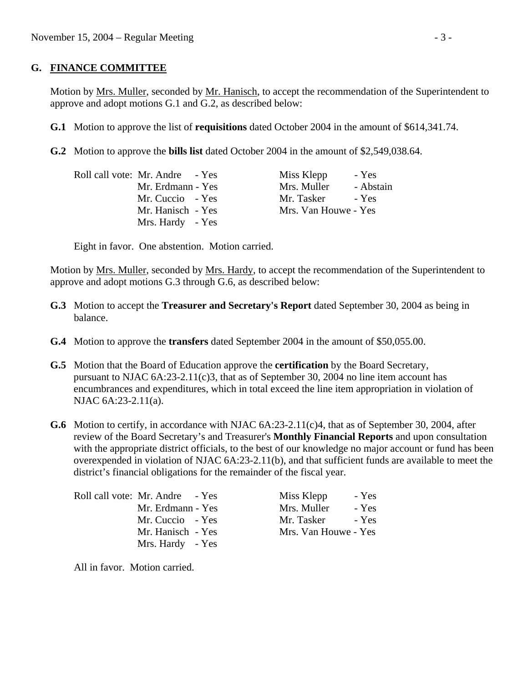#### **G. FINANCE COMMITTEE**

Motion by Mrs. Muller, seconded by Mr. Hanisch, to accept the recommendation of the Superintendent to approve and adopt motions G.1 and G.2, as described below:

- **G.1** Motion to approve the list of **requisitions** dated October 2004 in the amount of \$614,341.74.
- **G.2** Motion to approve the **bills list** dated October 2004 in the amount of \$2,549,038.64.

| Roll call vote: Mr. Andre - Yes | Miss Klepp           | - Yes     |
|---------------------------------|----------------------|-----------|
| Mr. Erdmann - Yes               | Mrs. Muller          | - Abstain |
| Mr. Cuccio - Yes                | Mr. Tasker           | $-$ Yes   |
| Mr. Hanisch - Yes               | Mrs. Van Houwe - Yes |           |
| Mrs. Hardy - Yes                |                      |           |

Eight in favor. One abstention. Motion carried.

Motion by Mrs. Muller, seconded by Mrs. Hardy, to accept the recommendation of the Superintendent to approve and adopt motions G.3 through G.6, as described below:

- **G.3** Motion to accept the **Treasurer and Secretary's Report** dated September 30, 2004 as being in balance.
- **G.4** Motion to approve the **transfers** dated September 2004 in the amount of \$50,055.00.
- **G.5** Motion that the Board of Education approve the **certification** by the Board Secretary, pursuant to NJAC  $6A:23-2.11(c)3$ , that as of September 30, 2004 no line item account has encumbrances and expenditures, which in total exceed the line item appropriation in violation of NJAC 6A:23-2.11(a).
- **G.6** Motion to certify, in accordance with NJAC 6A:23-2.11(c)4, that as of September 30, 2004, after review of the Board Secretary's and Treasurer's **Monthly Financial Reports** and upon consultation with the appropriate district officials, to the best of our knowledge no major account or fund has been overexpended in violation of NJAC 6A:23-2.11(b), and that sufficient funds are available to meet the district's financial obligations for the remainder of the fiscal year.

| Roll call vote: Mr. Andre - Yes |  |
|---------------------------------|--|
| Mr. Erdmann - Yes               |  |
| Mr. Cuccio - Yes                |  |
| Mr. Hanisch - Yes               |  |
| Mrs. Hardy - Yes                |  |

Miss Klepp - Yes Mrs. Muller - Yes Mr. Tasker - Yes Mrs. Van Houwe - Yes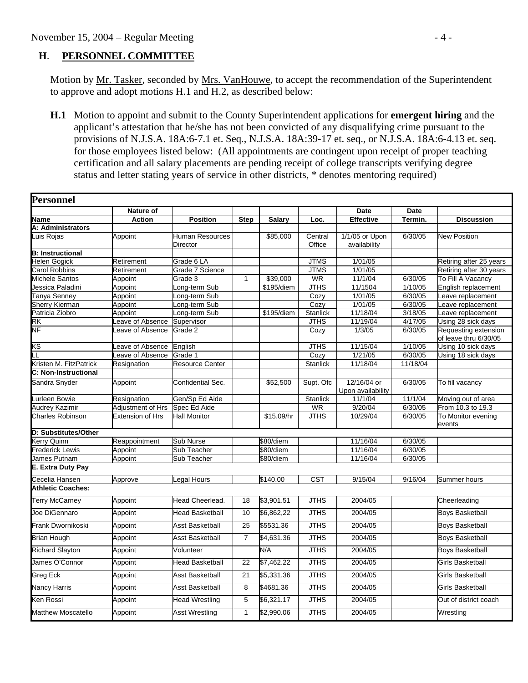#### **H**. **PERSONNEL COMMITTEE**

Motion by Mr. Tasker, seconded by Mrs. VanHouwe, to accept the recommendation of the Superintendent to approve and adopt motions H.1 and H.2, as described below:

 **H.1** Motion to appoint and submit to the County Superintendent applications for **emergent hiring** and the applicant's attestation that he/she has not been convicted of any disqualifying crime pursuant to the provisions of N.J.S.A. 18A:6-7.1 et. Seq., N.J.S.A. 18A:39-17 et. seq., or N.J.S.A. 18A:6-4.13 et. seq. for those employees listed below: (All appointments are contingent upon receipt of proper teaching certification and all salary placements are pending receipt of college transcripts verifying degree status and letter stating years of service in other districts, \* denotes mentoring required)

| Personnel                 |                         |                                           |                |               |                   |                                  |             |                              |
|---------------------------|-------------------------|-------------------------------------------|----------------|---------------|-------------------|----------------------------------|-------------|------------------------------|
|                           | Nature of               |                                           |                |               |                   | <b>Date</b>                      | <b>Date</b> |                              |
| Name                      | <b>Action</b>           | <b>Position</b>                           | <b>Step</b>    | <b>Salary</b> | Loc.              | Effective                        | Termin.     | <b>Discussion</b>            |
| A: Administrators         |                         |                                           |                |               |                   |                                  |             |                              |
| uis Rojas                 | Appoint                 | <b>Human Resources</b><br><b>Director</b> |                | \$85,000      | Central<br>Office | 1/1/05 or Upon<br>availability   | 6/30/05     | <b>New Position</b>          |
| <b>B: Instructional</b>   |                         |                                           |                |               |                   |                                  |             |                              |
| Helen Gogick              | Retirement              | Grade 6 LA                                |                |               | <b>JTMS</b>       | 1/01/05                          |             | Retiring after 25 years      |
| Carol Robbins             | Retirement              | Grade 7 Science                           |                |               | <b>JTMS</b>       | 1/01/05                          |             | Retiring after 30 years      |
| Michele Santos            | Appoint                 | Grade 3                                   | 1              | \$39,000      | <b>WR</b>         | 11/1/04                          | 6/30/05     | To Fill A Vacancy            |
| Jessica Paladini          | Appoint                 | ong-term Sub                              |                | \$195/diem    | <b>JTHS</b>       | 11/1504                          | 1/10/05     | English replacement          |
| Tanya Senney              | Appoint                 | ong-term Sub                              |                |               | Cozy              | 1/01/05                          | 6/30/05     | Leave replacement            |
| Sherry Kierman            | Appoint                 | ong-term Sub                              |                |               | Cozy              | 1/01/05                          | 6/30/05     | eave replacement             |
| Patricia Ziobro           | Appoint                 | ong-term Sub                              |                | \$195/diem    | Stanlick          | 11/18/04                         | 3/18/05     | eave replacement             |
| RK                        | Leave of Absence        | Supervisor                                |                |               | <b>JTHS</b>       | 11/19/04                         | 4/17/05     | Using 28 sick days           |
| NF                        | eave of Absence         | Grade 2                                   |                |               | Cozy              | 1/3/05                           | 6/30/05     | Requesting extension         |
|                           |                         |                                           |                |               |                   |                                  |             | of leave thru 6/30/05        |
| κs                        | eave of Absence         | English                                   |                |               | <b>JTHS</b>       | 11/15/04                         | 1/10/05     | Using 10 sick days           |
| LL                        | Leave of Absence        | Grade 1                                   |                |               | Cozy              | 1/21/05                          | 6/30/05     | Using 18 sick days           |
| Kristen M. FitzPatrick    | Resignation             | <b>Resource Center</b>                    |                |               | <b>Stanlick</b>   | 11/18/04                         | 11/18/04    |                              |
| C: Non-Instructional      |                         |                                           |                |               |                   |                                  |             |                              |
| Sandra Snyder             | Appoint                 | Confidential Sec.                         |                | \$52,500      | Supt. Ofc         | 12/16/04 or<br>Upon availability | 6/30/05     | To fill vacancy              |
| Lurleen Bowie             | Resignation             | Gen/Sp Ed Aide                            |                |               | <b>Stanlick</b>   | 11/1/04                          | 11/1/04     | Moving out of area           |
| Audrey Kazimir            | Adjustment of Hrs       | Spec Ed Aide                              |                |               | <b>WR</b>         | 9/20/04                          | 6/30/05     | From 10.3 to 19.3            |
| Charles Robinson          | <b>Extension of Hrs</b> | <b>Hall Monitor</b>                       |                | \$15.09/hr    | <b>JTHS</b>       | 10/29/04                         | 6/30/05     | To Monitor evening<br>events |
| D: Substitutes/Other      |                         |                                           |                |               |                   |                                  |             |                              |
| Kerry Quinn               | Reappointment           | Sub Nurse                                 |                | \$80/diem     |                   | 11/16/04                         | 6/30/05     |                              |
| Frederick Lewis           | Appoint                 | Sub Teacher                               |                | \$80/diem     |                   | 11/16/04                         | 6/30/05     |                              |
| James Putnam              | Appoint                 | Sub Teacher                               |                | \$80/diem     |                   | 11/16/04                         | 6/30/05     |                              |
| E. Extra Duty Pay         |                         |                                           |                |               |                   |                                  |             |                              |
| Cecelia Hansen            | Approve                 | Legal Hours                               |                | \$140.00      | <b>CST</b>        | 9/15/04                          | 9/16/04     | Summer hours                 |
| <b>Athletic Coaches:</b>  |                         |                                           |                |               |                   |                                  |             |                              |
| <b>Terry McCarney</b>     | Appoint                 | Head Cheerlead.                           | 18             | \$3,901.51    | <b>JTHS</b>       | 2004/05                          |             | Cheerleading                 |
| Joe DiGennaro             | Appoint                 | <b>Head Basketball</b>                    | 10             | \$6,862,22    | <b>JTHS</b>       | 2004/05                          |             | <b>Boys Basketball</b>       |
| Frank Dwornikoski         | Appoint                 | <b>Asst Basketball</b>                    | 25             | \$5531.36     | <b>JTHS</b>       | 2004/05                          |             | <b>Boys Basketball</b>       |
| <b>Brian Hough</b>        | Appoint                 | <b>Asst Basketball</b>                    | $\overline{7}$ | \$4,631.36    | <b>JTHS</b>       | 2004/05                          |             | <b>Boys Basketball</b>       |
| <b>Richard Slayton</b>    | Appoint                 | Volunteer                                 |                | N/A           | <b>JTHS</b>       | 2004/05                          |             | <b>Boys Basketball</b>       |
| James O'Connor            | Appoint                 | <b>Head Basketball</b>                    | 22             | \$7,462.22    | <b>JTHS</b>       | 2004/05                          |             | Girls Basketball             |
| <b>Greg Eck</b>           | Appoint                 | <b>Asst Basketball</b>                    | 21             | \$5.331.36    | <b>JTHS</b>       | 2004/05                          |             | <b>Girls Basketball</b>      |
| <b>Nancy Harris</b>       | Appoint                 | <b>Asst Basketball</b>                    | 8              | \$4681.36     | <b>JTHS</b>       | 2004/05                          |             | <b>Girls Basketball</b>      |
| Ken Rossi                 | Appoint                 | <b>Head Wrestling</b>                     | 5              | \$6,321.17    | <b>JTHS</b>       | 2004/05                          |             | Out of district coach        |
| <b>Matthew Moscatello</b> | Appoint                 | <b>Asst Wrestling</b>                     | $\mathbf{1}$   | \$2,990.06    | <b>JTHS</b>       | 2004/05                          |             | Wrestling                    |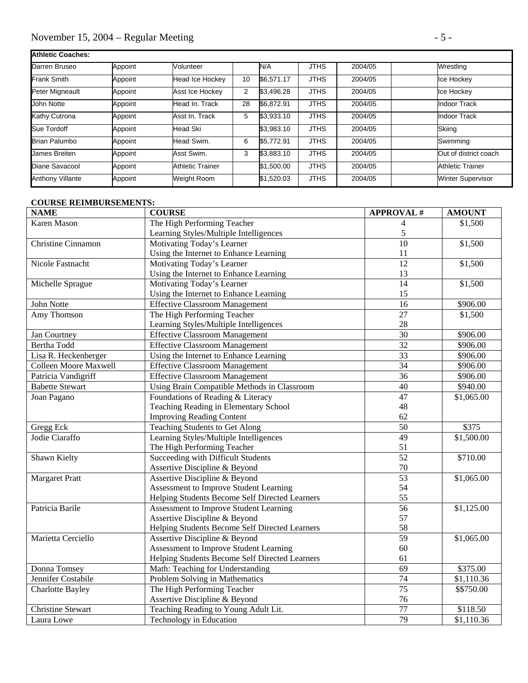# November 15, 2004 – Regular Meeting - 5 -

| Athletic Coaches:       |         |                         |                |            |             |         |                          |
|-------------------------|---------|-------------------------|----------------|------------|-------------|---------|--------------------------|
| Darren Bruseo           | Appoint | Volunteer               |                | N/A        | <b>JTHS</b> | 2004/05 | Wrestling                |
| <b>Frank Smith</b>      | Appoint | Head Ice Hockey         | 10             | \$6.571.17 | <b>JTHS</b> | 2004/05 | Ice Hockey               |
| Peter Migneault         | Appoint | Asst Ice Hockey         | $\overline{2}$ | \$3.496.28 | <b>JTHS</b> | 2004/05 | Ice Hockey               |
| John Notte              | Appoint | Head In. Track          | 28             | \$6.872.91 | <b>JTHS</b> | 2004/05 | Indoor Track             |
| Kathy Cutrona           | Appoint | Asst In. Track          | 5              | \$3.933.10 | <b>JTHS</b> | 2004/05 | <b>Indoor Track</b>      |
| Sue Tordoff             | Appoint | <b>Head Ski</b>         |                | \$3.983.10 | <b>JTHS</b> | 2004/05 | Skiing                   |
| <b>Brian Palumbo</b>    | Appoint | Head Swim.              | 6              | \$5.772.91 | <b>JTHS</b> | 2004/05 | Swimming                 |
| James Breiten           | Appoint | Asst Swim.              | 3              | \$3,883.10 | <b>JTHS</b> | 2004/05 | Out of district coach    |
| Diane Savacool          | Appoint | <b>Athletic Trainer</b> |                | \$1,500.00 | <b>JTHS</b> | 2004/05 | <b>Athletic Trainer</b>  |
| <b>Anthony Villante</b> | Appoint | <b>Weight Room</b>      |                | \$1,520.03 | <b>JTHS</b> | 2004/05 | <b>Winter Supervisor</b> |

#### **COURSE REIMBURSEMENTS:**

| <b>NAME</b>                  | <b>COURSE</b>                                  | <b>APPROVAL#</b> | <b>AMOUNT</b> |
|------------------------------|------------------------------------------------|------------------|---------------|
| <b>Karen Mason</b>           | The High Performing Teacher                    | 4                | \$1,500       |
|                              | Learning Styles/Multiple Intelligences         | 5                |               |
| <b>Christine Cinnamon</b>    | Motivating Today's Learner                     | 10               | \$1,500       |
|                              | Using the Internet to Enhance Learning         | 11               |               |
| Nicole Fastnacht             | Motivating Today's Learner                     | $\overline{12}$  | \$1,500       |
|                              | Using the Internet to Enhance Learning         | 13               |               |
| Michelle Sprague             | Motivating Today's Learner                     | $\overline{14}$  | \$1,500       |
|                              | Using the Internet to Enhance Learning         | 15               |               |
| John Notte                   | <b>Effective Classroom Management</b>          | 16               | \$906.00      |
| Amy Thomson                  | The High Performing Teacher                    | $\overline{27}$  | \$1,500       |
|                              | Learning Styles/Multiple Intelligences         | 28               |               |
| Jan Courtney                 | <b>Effective Classroom Management</b>          | 30               | \$906.00      |
| Bertha Todd                  | <b>Effective Classroom Management</b>          | $\overline{32}$  | \$906.00      |
| Lisa R. Heckenberger         | Using the Internet to Enhance Learning         | 33               | \$906.00      |
| <b>Colleen Moore Maxwell</b> | <b>Effective Classroom Management</b>          | $\overline{34}$  | \$906.00      |
| Patricia Vandigriff          | <b>Effective Classroom Management</b>          | 36               | \$906.00      |
| <b>Babette Stewart</b>       | Using Brain Compatible Methods in Classroom    | $\overline{40}$  | \$940.00      |
| Joan Pagano                  | Foundations of Reading & Literacy              | 47               | \$1,065.00    |
|                              | Teaching Reading in Elementary School          | 48               |               |
|                              | <b>Improving Reading Content</b>               | 62               |               |
| Gregg Eck                    | Teaching Students to Get Along                 | $\overline{50}$  | \$375         |
| Jodie Ciaraffo               | Learning Styles/Multiple Intelligences         | $\overline{49}$  | \$1,500.00    |
|                              | The High Performing Teacher                    | 51               |               |
| Shawn Kielty                 | Succeeding with Difficult Students             | $\overline{52}$  | \$710.00      |
|                              | Assertive Discipline & Beyond                  | 70               |               |
| <b>Margaret Pratt</b>        | Assertive Discipline & Beyond                  | $\overline{53}$  | \$1,065.00    |
|                              | Assessment to Improve Student Learning         | 54               |               |
|                              | Helping Students Become Self Directed Learners | 55               |               |
| Patricia Barile              | Assessment to Improve Student Learning         | 56               | \$1,125.00    |
|                              | Assertive Discipline & Beyond                  | 57               |               |
|                              | Helping Students Become Self Directed Learners | 58               |               |
| Marietta Cerciello           | Assertive Discipline & Beyond                  | $\overline{59}$  | \$1,065.00    |
|                              | Assessment to Improve Student Learning         | 60               |               |
|                              | Helping Students Become Self Directed Learners | 61               |               |
| Donna Tomsey                 | Math: Teaching for Understanding               | 69               | \$375.00      |
| Jennifer Costabile           | Problem Solving in Mathematics                 | 74               | \$1,110.36    |
| <b>Charlotte Bayley</b>      | The High Performing Teacher                    | 75               | \$\$750.00    |
|                              | Assertive Discipline & Beyond                  | 76               |               |
| <b>Christine Stewart</b>     | Teaching Reading to Young Adult Lit.           | $\overline{77}$  | \$118.50      |
| Laura Lowe                   | Technology in Education                        | 79               | \$1,110.36    |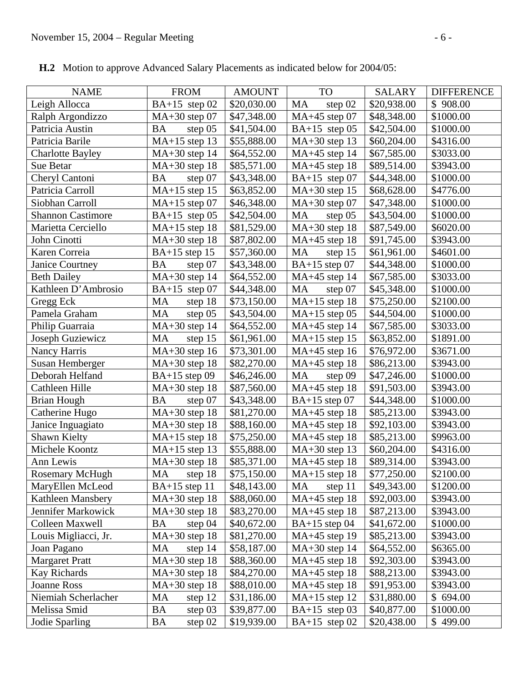| <b>NAME</b>              | <b>FROM</b>            | <b>AMOUNT</b> | <b>TO</b>              | SALARY      | <b>DIFFERENCE</b> |
|--------------------------|------------------------|---------------|------------------------|-------------|-------------------|
| Leigh Allocca            | $BA+15$ step 02        | \$20,030.00   | MA<br>step 02          | \$20,938.00 | \$908.00          |
| Ralph Argondizzo         | $MA+30$ step 07        | \$47,348.00   | MA+45 step 07          | \$48,348.00 | \$1000.00         |
| Patricia Austin          | <b>BA</b><br>step $05$ | \$41,504.00   | $BA+15$ step 05        | \$42,504.00 | \$1000.00         |
| Patricia Barile          | $MA+15$ step 13        | \$55,888.00   | $MA+30$ step 13        | \$60,204.00 | \$4316.00         |
| <b>Charlotte Bayley</b>  | $MA+30$ step 14        | \$64,552.00   | $MA+45$ step 14        | \$67,585.00 | \$3033.00         |
| Sue Betar                | $MA+30$ step 18        | \$85,571.00   | $MA+45$ step 18        | \$89,514.00 | \$3943.00         |
| Cheryl Cantoni           | step 07<br><b>BA</b>   | \$43,348.00   | BA+15 step $07$        | \$44,348.00 | \$1000.00         |
| Patricia Carroll         | MA+15 step 15          | \$63,852.00   | $MA+30$ step 15        | \$68,628.00 | \$4776.00         |
| Siobhan Carroll          | $MA+15$ step 07        | \$46,348.00   | $MA+30$ step 07        | \$47,348.00 | \$1000.00         |
| <b>Shannon Castimore</b> | $BA+15$ step 05        | \$42,504.00   | <b>MA</b><br>step $05$ | \$43,504.00 | \$1000.00         |
| Marietta Cerciello       | $MA+15$ step 18        | \$81,529.00   | $MA+30$ step 18        | \$87,549.00 | \$6020.00         |
| John Cinotti             | $MA+30$ step 18        | \$87,802.00   | $MA+45$ step 18        | \$91,745.00 | \$3943.00         |
| Karen Correia            | $BA+15$ step 15        | \$57,360.00   | <b>MA</b><br>step 15   | \$61,961.00 | \$4601.00         |
| Janice Courtney          | <b>BA</b><br>step 07   | \$43,348.00   | $BA+15$ step 07        | \$44,348.00 | \$1000.00         |
| <b>Beth Dailey</b>       | $MA+30$ step 14        | \$64,552.00   | $MA+45$ step 14        | \$67,585.00 | \$3033.00         |
| Kathleen D'Ambrosio      | BA+15 step $07$        | \$44,348.00   | <b>MA</b><br>step 07   | \$45,348.00 | \$1000.00         |
| Gregg Eck                | MA<br>step 18          | \$73,150.00   | $MA+15$ step 18        | \$75,250.00 | \$2100.00         |
| Pamela Graham            | MA<br>step 05          | \$43,504.00   | $MA+15$ step 05        | \$44,504.00 | \$1000.00         |
| Philip Guarraia          | $MA+30$ step 14        | \$64,552.00   | $MA+45$ step 14        | \$67,585.00 | \$3033.00         |
| Joseph Guziewicz         | <b>MA</b><br>step 15   | \$61,961.00   | $MA+15$ step 15        | \$63,852.00 | \$1891.00         |
| Nancy Harris             | $MA+30$ step 16        | \$73,301.00   | $MA+45$ step 16        | \$76,972.00 | \$3671.00         |
| Susan Hemberger          | $MA+30$ step 18        | \$82,270.00   | $MA+45$ step 18        | \$86,213.00 | \$3943.00         |
| Deborah Helfand          | $BA+15$ step 09        | \$46,246.00   | MA<br>step 09          | \$47,246.00 | \$1000.00         |
| Cathleen Hille           | $MA+30$ step 18        | \$87,560.00   | $MA+45$ step 18        | \$91,503.00 | \$3943.00         |
| <b>Brian Hough</b>       | <b>BA</b><br>step 07   | \$43,348.00   | $BA+15$ step 07        | \$44,348.00 | \$1000.00         |
| Catherine Hugo           | MA+30 step 18          | \$81,270.00   | $MA+45$ step 18        | \$85,213.00 | \$3943.00         |
| Janice Inguagiato        | $MA+30$ step 18        | \$88,160.00   | $MA+45$ step 18        | \$92,103.00 | \$3943.00         |
| Shawn Kielty             | $MA+15$ step 18        | \$75,250.00   | $MA+45$ step 18        | \$85,213.00 | \$9963.00         |
| Michele Koontz           | $MA+15$ step 13        | \$55,888.00   | $MA+30$ step 13        | \$60,204.00 | \$4316.00         |
| Ann Lewis                | $MA+30$ step 18        | \$85,371.00   | $MA+45$ step 18        | \$89,314.00 | \$3943.00         |
| <b>Rosemary McHugh</b>   | MA step 18             | \$75,150.00   | $MA+15$ step 18        | \$77,250.00 | \$2100.00         |
| MaryEllen McLeod         | $BA+15$ step 11        | \$48,143.00   | MA<br>step 11          | \$49,343.00 | \$1200.00         |
| Kathleen Mansbery        | $MA+30$ step 18        | \$88,060.00   | MA+45 step 18          | \$92,003.00 | \$3943.00         |
| Jennifer Markowick       | $MA+30$ step 18        | \$83,270.00   | $MA+45$ step 18        | \$87,213.00 | \$3943.00         |
| <b>Colleen Maxwell</b>   | BA<br>step $04$        | \$40,672.00   | $BA+15$ step 04        | \$41,672.00 | \$1000.00         |
| Louis Migliacci, Jr.     | $MA+30$ step 18        | \$81,270.00   | $MA+45$ step 19        | \$85,213.00 | \$3943.00         |
| Joan Pagano              | MA<br>step 14          | \$58,187.00   | $MA+30$ step 14        | \$64,552.00 | \$6365.00         |
| <b>Margaret Pratt</b>    | MA+30 step 18          | \$88,360.00   | $MA+45$ step 18        | \$92,303.00 | \$3943.00         |
| Kay Richards             | $MA+30$ step 18        | \$84,270.00   | $MA+45$ step 18        | \$88,213.00 | \$3943.00         |
| Joanne Ross              | $MA+30$ step 18        | \$88,010.00   | $MA+45$ step 18        | \$91,953.00 | \$3943.00         |
| Niemiah Scherlacher      | MA<br>step 12          | \$31,186.00   | $MA+15$ step 12        | \$31,880.00 | \$694.00          |
| Melissa Smid             | BA<br>step 03          | \$39,877.00   | $BA+15$ step 03        | \$40,877.00 | \$1000.00         |
| Jodie Sparling           | <b>BA</b><br>step $02$ | \$19,939.00   | BA+15 step $02$        | \$20,438.00 | \$499.00          |

 **H.2** Motion to approve Advanced Salary Placements as indicated below for 2004/05: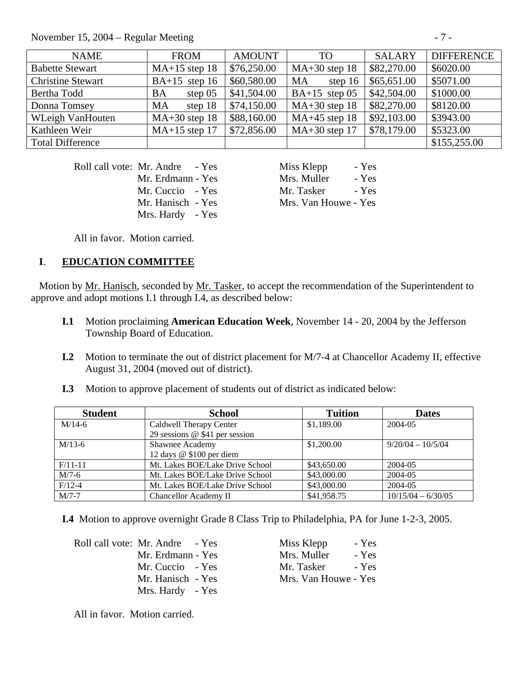November 15,  $2004 -$  Regular Meeting

| ., |  |
|----|--|
|----|--|

| <b>NAME</b>              | <b>FROM</b>            | <b>AMOUNT</b> | TO <sub>1</sub>        | <b>SALARY</b> | <b>DIFFERENCE</b> |
|--------------------------|------------------------|---------------|------------------------|---------------|-------------------|
| <b>Babette Stewart</b>   | $MA+15$ step 18        | \$76,250.00   | $MA+30$ step 18        | \$82,270.00   | \$6020.00         |
| <b>Christine Stewart</b> | $BA+15$ step 16        | \$60,580.00   | <b>MA</b><br>step $16$ | \$65,651.00   | \$5071.00         |
| Bertha Todd              | step $05$<br><b>BA</b> | \$41,504.00   | $BA+15$ step 05        | \$42,504.00   | \$1000.00         |
| Donna Tomsey             | step 18<br><b>MA</b>   | \$74,150.00   | $MA+30$ step 18        | \$82,270.00   | \$8120.00         |
| <b>WLeigh VanHouten</b>  | $MA+30$ step 18        | \$88,160.00   | $MA+45$ step 18        | \$92,103.00   | \$3943.00         |
| Kathleen Weir            | $MA+15$ step 17        | \$72,856.00   | $MA+30$ step 17        | \$78,179.00   | \$5323.00         |
| <b>Total Difference</b>  |                        |               |                        |               | \$155,255.00      |

Roll call vote: Mr. Andre - Yes Miss Klepp - Yes

Mrs. Hardy - Yes

Mr. Erdmann - Yes Mrs. Muller - Yes Mr. Cuccio - Yes Mr. Tasker - Yes Mr. Hanisch - Yes Mrs. Van Houwe - Yes

All in favor. Motion carried.

## **I**. **EDUCATION COMMITTEE**

 Motion by Mr. Hanisch, seconded by Mr. Tasker, to accept the recommendation of the Superintendent to approve and adopt motions I.1 through I.4, as described below:

- **I.1** Motion proclaiming **American Education Week**, November 14 20, 2004 by the Jefferson Township Board of Education.
- **I.2** Motion to terminate the out of district placement for M/7-4 at Chancellor Academy II, effective August 31, 2004 (moved out of district).
- **I.3** Motion to approve placement of students out of district as indicated below:

| <b>Student</b> | <b>School</b>                    | <b>Tuition</b> | <b>Dates</b>         |
|----------------|----------------------------------|----------------|----------------------|
| $M/14-6$       | Caldwell Therapy Center          | \$1,189.00     | 2004-05              |
|                | 29 sessions $@$ \$41 per session |                |                      |
| $M/13-6$       | Shawnee Academy                  | \$1,200.00     | $9/20/04 - 10/5/04$  |
|                | 12 days @ \$100 per diem         |                |                      |
| $F/11-11$      | Mt. Lakes BOE/Lake Drive School  | \$43,650.00    | 2004-05              |
| $M/7-6$        | Mt. Lakes BOE/Lake Drive School  | \$43,000.00    | 2004-05              |
| $F/12-4$       | Mt. Lakes BOE/Lake Drive School  | \$43,000.00    | 2004-05              |
| $M/7-7$        | Chancellor Academy II            | \$41,958.75    | $10/15/04 - 6/30/05$ |

 **I.4** Motion to approve overnight Grade 8 Class Trip to Philadelphia, PA for June 1-2-3, 2005.

Roll call vote: Mr. Andre - Yes Mr. Erdmann - Yes Mr. Cuccio - Yes Mr. Hanisch - Yes Mrs. Hardy - Yes

| Miss Klepp           | - Yes |
|----------------------|-------|
| Mrs. Muller          | - Yes |
| Mr. Tasker           | - Yes |
| Mrs. Van Houwe - Yes |       |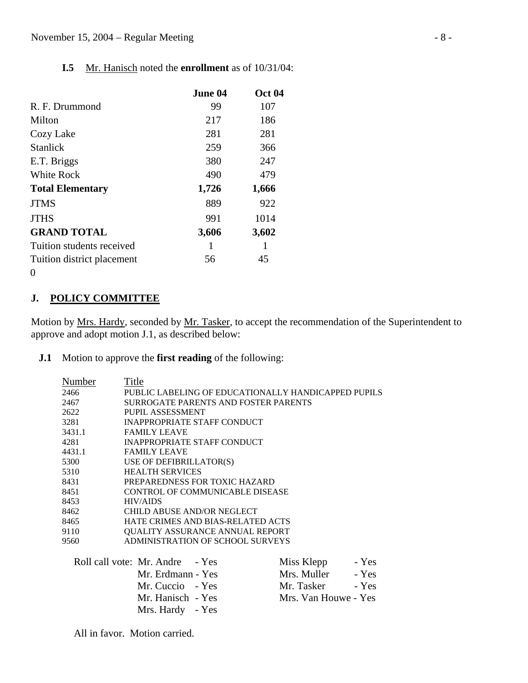## **I.5** Mr. Hanisch noted the **enrollment** as of 10/31/04:

|                            | June 04 | <b>Oct 04</b> |
|----------------------------|---------|---------------|
| R. F. Drummond             | 99      | 107           |
| Milton                     | 217     | 186           |
| Cozy Lake                  | 281     | 281           |
| Stanlick                   | 259     | 366           |
| E.T. Briggs                | 380     | 247           |
| White Rock                 | 490     | 479           |
| <b>Total Elementary</b>    | 1,726   | 1,666         |
| <b>JTMS</b>                | 889     | 922           |
| <b>JTHS</b>                | 991     | 1014          |
| <b>GRAND TOTAL</b>         | 3,606   | 3,602         |
| Tuition students received  |         |               |
| Tuition district placement | 56      | 45            |
| $\theta$                   |         |               |

#### **J. POLICY COMMITTEE**

Motion by Mrs. Hardy, seconded by Mr. Tasker, to accept the recommendation of the Superintendent to approve and adopt motion J.1, as described below:

## **J.1** Motion to approve the **first reading** of the following:

| Number | Title                                               |            |       |
|--------|-----------------------------------------------------|------------|-------|
| 2466   | PUBLIC LABELING OF EDUCATIONALLY HANDICAPPED PUPILS |            |       |
| 2467   | SURROGATE PARENTS AND FOSTER PARENTS                |            |       |
| 2622   | PUPIL ASSESSMENT                                    |            |       |
| 3281   | <b>INAPPROPRIATE STAFF CONDUCT</b>                  |            |       |
| 3431.1 | <b>FAMILY LEAVE</b>                                 |            |       |
| 4281   | INAPPROPRIATE STAFF CONDUCT                         |            |       |
| 4431.1 | <b>FAMILY LEAVE</b>                                 |            |       |
| 5300   | USE OF DEFIBRILLATOR(S)                             |            |       |
| 5310   | <b>HEALTH SERVICES</b>                              |            |       |
| 8431   | PREPAREDNESS FOR TOXIC HAZARD                       |            |       |
| 8451   | CONTROL OF COMMUNICABLE DISEASE                     |            |       |
| 8453   | <b>HIV/AIDS</b>                                     |            |       |
| 8462   | CHILD ABUSE AND/OR NEGLECT                          |            |       |
| 8465   | HATE CRIMES AND BIAS-RELATED ACTS                   |            |       |
| 9110   | <b>QUALITY ASSURANCE ANNUAL REPORT</b>              |            |       |
| 9560   | ADMINISTRATION OF SCHOOL SURVEYS                    |            |       |
|        | Roll call vote: Mr. Andre - Yes                     | Miss Klepp | - Yes |

| <b>NIISS NIEPP</b><br>$-1$ es |
|-------------------------------|
| Mrs. Muller<br>- Yes          |
| Mr. Tasker<br>- Yes           |
| Mrs. Van Houwe - Yes          |
|                               |
|                               |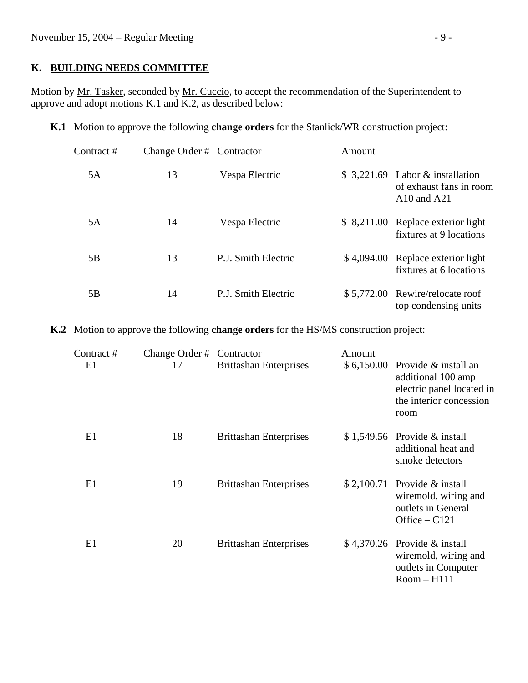#### **K. BUILDING NEEDS COMMITTEE**

Motion by Mr. Tasker, seconded by Mr. Cuccio, to accept the recommendation of the Superintendent to approve and adopt motions K.1 and K.2, as described below:

**K.1** Motion to approve the following **change orders** for the Stanlick/WR construction project:

| Contract# | Change Order # | Contractor          | Amount |                                                                                |
|-----------|----------------|---------------------|--------|--------------------------------------------------------------------------------|
| 5A        | 13             | Vespa Electric      |        | $$3,221.69$ Labor & installation<br>of exhaust fans in room<br>$A10$ and $A21$ |
| 5A        | 14             | Vespa Electric      |        | \$ 8,211.00 Replace exterior light<br>fixtures at 9 locations                  |
| 5B        | 13             | P.J. Smith Electric |        | \$4,094.00 Replace exterior light<br>fixtures at 6 locations                   |
| 5B        | 14             | P.J. Smith Electric |        | \$5,772.00 Rewire/relocate roof<br>top condensing units                        |

**K.2** Motion to approve the following **change orders** for the HS/MS construction project:

| Contract # | Change Order # | Contractor                    | Amount |                                                                                                                        |
|------------|----------------|-------------------------------|--------|------------------------------------------------------------------------------------------------------------------------|
| E1         | 17             | <b>Brittashan Enterprises</b> |        | $$6,150.00$ Provide & install an<br>additional 100 amp<br>electric panel located in<br>the interior concession<br>room |
| E1         | 18             | <b>Brittashan Enterprises</b> |        | $$1,549.56$ Provide & install<br>additional heat and<br>smoke detectors                                                |
| E1         | 19             | <b>Brittashan Enterprises</b> |        | $$2,100.71$ Provide & install<br>wiremold, wiring and<br>outlets in General<br>Office $-$ C121                         |
| E1         | 20             | <b>Brittashan Enterprises</b> |        | $$4,370.26$ Provide & install<br>wiremold, wiring and<br>outlets in Computer<br>$Room-H111$                            |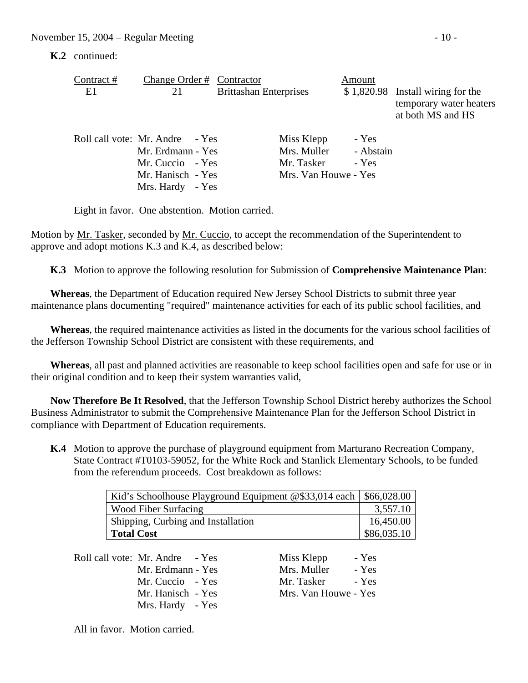**K.2** continued:

| Contract #<br>E1 | Change Order # Contractor<br>21                                                                                   | <b>Brittashan Enterprises</b>                                   | Amount                      | $$1,820.98$ Install wiring for the<br>temporary water heaters<br>at both MS and HS |
|------------------|-------------------------------------------------------------------------------------------------------------------|-----------------------------------------------------------------|-----------------------------|------------------------------------------------------------------------------------|
|                  | Roll call vote: Mr. Andre - Yes<br>Mr. Erdmann - Yes<br>Mr. Cuccio - Yes<br>Mr. Hanisch - Yes<br>Mrs. Hardy - Yes | Miss Klepp<br>Mrs. Muller<br>Mr. Tasker<br>Mrs. Van Houwe - Yes | - Yes<br>- Abstain<br>- Yes |                                                                                    |

Eight in favor. One abstention. Motion carried.

Motion by Mr. Tasker, seconded by Mr. Cuccio, to accept the recommendation of the Superintendent to approve and adopt motions K.3 and K.4, as described below:

 **K.3** Motion to approve the following resolution for Submission of **Comprehensive Maintenance Plan**:

 **Whereas**, the Department of Education required New Jersey School Districts to submit three year maintenance plans documenting "required" maintenance activities for each of its public school facilities, and

 **Whereas**, the required maintenance activities as listed in the documents for the various school facilities of the Jefferson Township School District are consistent with these requirements, and

 **Whereas**, all past and planned activities are reasonable to keep school facilities open and safe for use or in their original condition and to keep their system warranties valid,

 **Now Therefore Be It Resolved**, that the Jefferson Township School District hereby authorizes the School Business Administrator to submit the Comprehensive Maintenance Plan for the Jefferson School District in compliance with Department of Education requirements.

 **K.4** Motion to approve the purchase of playground equipment from Marturano Recreation Company, State Contract #T0103-59052, for the White Rock and Stanlick Elementary Schools, to be funded from the referendum proceeds. Cost breakdown as follows:

| Kid's Schoolhouse Playground Equipment @\$33,014 each   \$66,028.00 |             |
|---------------------------------------------------------------------|-------------|
| <b>Wood Fiber Surfacing</b>                                         | 3,557.10    |
| Shipping, Curbing and Installation                                  | 16,450.00   |
| <b>Total Cost</b>                                                   | \$86,035.10 |

| Roll call vote: Mr. Andre - Yes | Miss Klepp<br>- Yes  |
|---------------------------------|----------------------|
| Mr. Erdmann - Yes               | Mrs. Muller<br>- Yes |
| Mr. Cuccio - Yes                | Mr. Tasker<br>- Yes  |
| Mr. Hanisch - Yes               | Mrs. Van Houwe - Yes |
| Mrs. Hardy - Yes                |                      |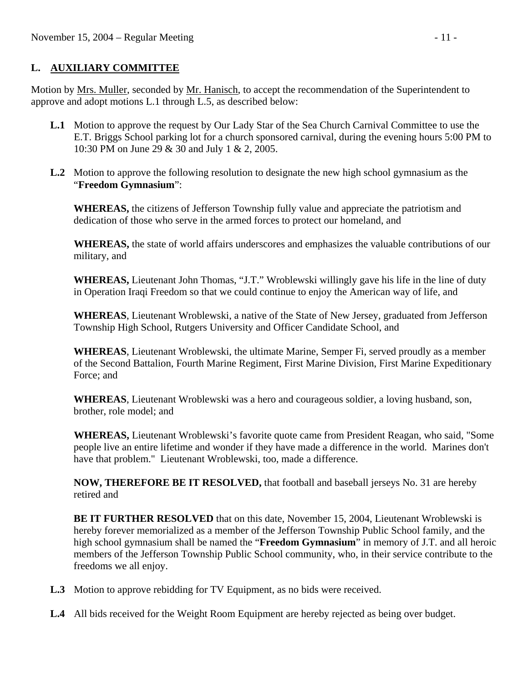## **L. AUXILIARY COMMITTEE**

Motion by Mrs. Muller, seconded by Mr. Hanisch, to accept the recommendation of the Superintendent to approve and adopt motions L.1 through L.5, as described below:

- **L.1** Motion to approve the request by Our Lady Star of the Sea Church Carnival Committee to use the E.T. Briggs School parking lot for a church sponsored carnival, during the evening hours 5:00 PM to 10:30 PM on June 29 & 30 and July 1 & 2, 2005.
- **L.2** Motion to approve the following resolution to designate the new high school gymnasium as the "**Freedom Gymnasium**":

**WHEREAS,** the citizens of Jefferson Township fully value and appreciate the patriotism and dedication of those who serve in the armed forces to protect our homeland, and

 **WHEREAS,** the state of world affairs underscores and emphasizes the valuable contributions of our military, and

 **WHEREAS,** Lieutenant John Thomas, "J.T." Wroblewski willingly gave his life in the line of duty in Operation Iraqi Freedom so that we could continue to enjoy the American way of life, and

 **WHEREAS**, Lieutenant Wroblewski, a native of the State of New Jersey, graduated from Jefferson Township High School, Rutgers University and Officer Candidate School, and

**WHEREAS**, Lieutenant Wroblewski, the ultimate Marine, Semper Fi, served proudly as a member of the Second Battalion, Fourth Marine Regiment, First Marine Division, First Marine Expeditionary Force; and

**WHEREAS**, Lieutenant Wroblewski was a hero and courageous soldier, a loving husband, son, brother, role model; and

**WHEREAS,** Lieutenant Wroblewski's favorite quote came from President Reagan, who said, "Some people live an entire lifetime and wonder if they have made a difference in the world. Marines don't have that problem." Lieutenant Wroblewski, too, made a difference.

 **NOW, THEREFORE BE IT RESOLVED,** that football and baseball jerseys No. 31 are hereby retired and

 **BE IT FURTHER RESOLVED** that on this date, November 15, 2004, Lieutenant Wroblewski is hereby forever memorialized as a member of the Jefferson Township Public School family, and the high school gymnasium shall be named the "**Freedom Gymnasium**" in memory of J.T. and all heroic members of the Jefferson Township Public School community, who, in their service contribute to the freedoms we all enjoy.

- **L.3** Motion to approve rebidding for TV Equipment, as no bids were received.
- **L.4** All bids received for the Weight Room Equipment are hereby rejected as being over budget.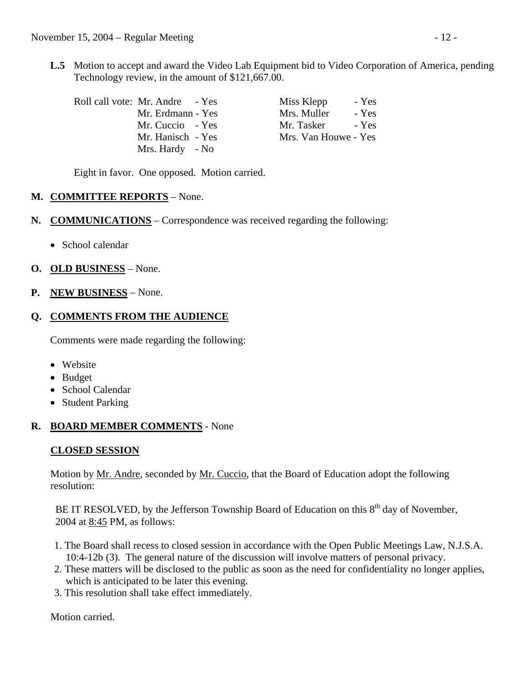**L.5** Motion to accept and award the Video Lab Equipment bid to Video Corporation of America, pending Technology review, in the amount of \$121,667.00.

| Roll call vote: Mr. Andre - Yes | Miss Klepp           | - Yes |
|---------------------------------|----------------------|-------|
| Mr. Erdmann - Yes               | Mrs. Muller          | - Yes |
| Mr. Cuccio - Yes                | Mr. Tasker           | - Yes |
| Mr. Hanisch - Yes               | Mrs. Van Houwe - Yes |       |
| Mrs. Hardy - No                 |                      |       |

Eight in favor. One opposed. Motion carried.

#### **M. COMMITTEE REPORTS** – None.

- **N. COMMUNICATIONS** Correspondence was received regarding the following:
	- School calendar
- **O. OLD BUSINESS** None.
- **P. NEW BUSINESS** None.

#### **Q. COMMENTS FROM THE AUDIENCE**

Comments were made regarding the following:

- Website
- Budget
- School Calendar
- Student Parking

# **R. BOARD MEMBER COMMENTS** - None

# **CLOSED SESSION**

 Motion by Mr. Andre, seconded by Mr. Cuccio, that the Board of Education adopt the following resolution:

BE IT RESOLVED, by the Jefferson Township Board of Education on this  $8<sup>th</sup>$  day of November, 2004 at 8:45 PM, as follows:

- 1. The Board shall recess to closed session in accordance with the Open Public Meetings Law, N.J.S.A. 10:4-12b (3). The general nature of the discussion will involve matters of personal privacy.
- 2. These matters will be disclosed to the public as soon as the need for confidentiality no longer applies, which is anticipated to be later this evening.
- 3. This resolution shall take effect immediately.

Motion carried.